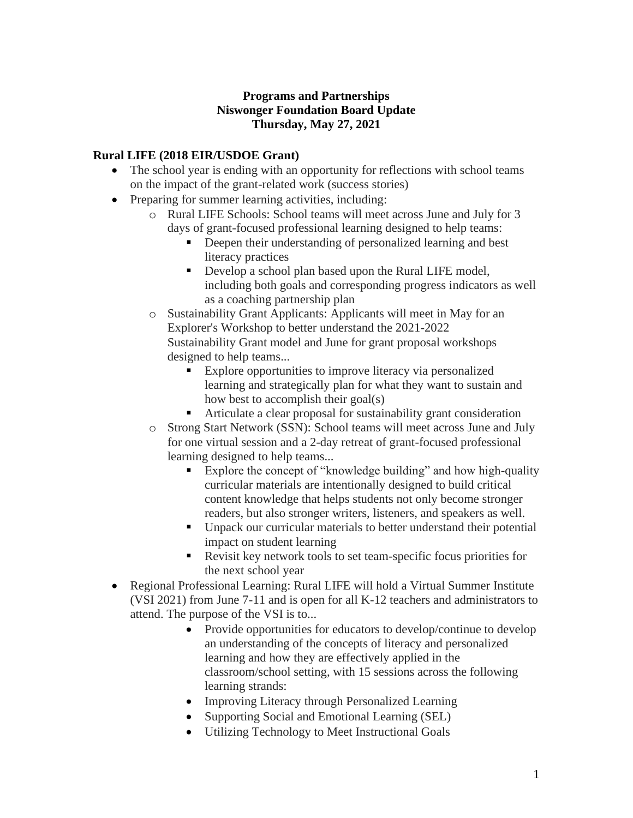## **Programs and Partnerships Niswonger Foundation Board Update Thursday, May 27, 2021**

## **Rural LIFE (2018 EIR/USDOE Grant)**

- The school year is ending with an opportunity for reflections with school teams on the impact of the grant-related work (success stories)
- Preparing for summer learning activities, including:
	- o Rural LIFE Schools: School teams will meet across June and July for 3 days of grant-focused professional learning designed to help teams:
		- **•** Deepen their understanding of personalized learning and best literacy practices
		- Develop a school plan based upon the Rural LIFE model, including both goals and corresponding progress indicators as well as a coaching partnership plan
	- o Sustainability Grant Applicants: Applicants will meet in May for an Explorer's Workshop to better understand the 2021-2022 Sustainability Grant model and June for grant proposal workshops designed to help teams...
		- Explore opportunities to improve literacy via personalized learning and strategically plan for what they want to sustain and how best to accomplish their goal(s)
		- Articulate a clear proposal for sustainability grant consideration
	- o Strong Start Network (SSN): School teams will meet across June and July for one virtual session and a 2-day retreat of grant-focused professional learning designed to help teams...
		- Explore the concept of "knowledge building" and how high-quality curricular materials are intentionally designed to build critical content knowledge that helps students not only become stronger readers, but also stronger writers, listeners, and speakers as well.
		- Unpack our curricular materials to better understand their potential impact on student learning
		- Revisit key network tools to set team-specific focus priorities for the next school year
- Regional Professional Learning: Rural LIFE will hold a Virtual Summer Institute (VSI 2021) from June 7-11 and is open for all K-12 teachers and administrators to attend. The purpose of the VSI is to...
	- Provide opportunities for educators to develop/continue to develop an understanding of the concepts of literacy and personalized learning and how they are effectively applied in the classroom/school setting, with 15 sessions across the following learning strands:
	- Improving Literacy through Personalized Learning
	- Supporting Social and Emotional Learning (SEL)
	- Utilizing Technology to Meet Instructional Goals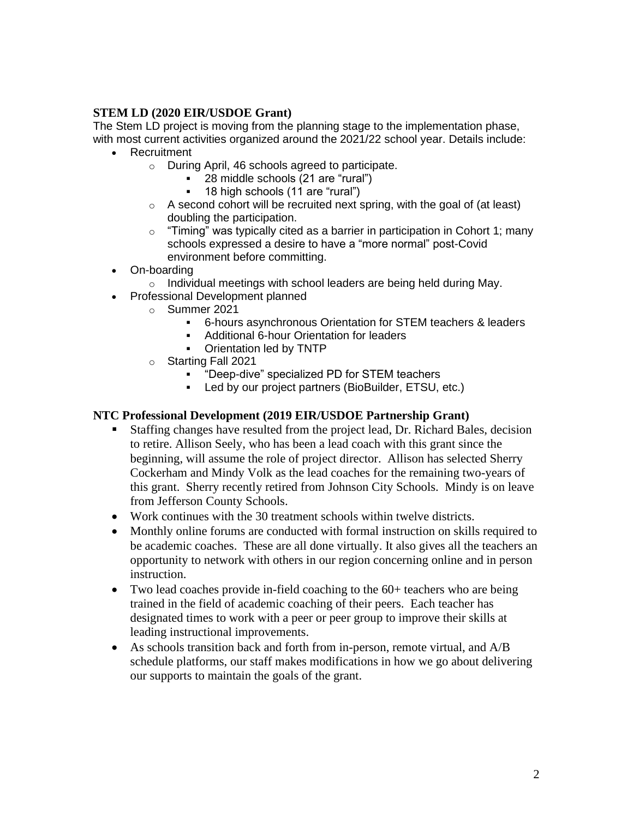## **STEM LD (2020 EIR/USDOE Grant)**

The Stem LD project is moving from the planning stage to the implementation phase, with most current activities organized around the 2021/22 school year. Details include:

- Recruitment
	- o During April, 46 schools agreed to participate.
		- 28 middle schools (21 are "rural")
		- 18 high schools (11 are "rural")
	- $\circ$  A second cohort will be recruited next spring, with the goal of (at least) doubling the participation.
	- $\circ$  "Timing" was typically cited as a barrier in participation in Cohort 1; many schools expressed a desire to have a "more normal" post-Covid environment before committing.
- On-boarding
	- $\circ$  Individual meetings with school leaders are being held during May.
- Professional Development planned
	- o Summer 2021
		- 6-hours asynchronous Orientation for STEM teachers & leaders
		- Additional 6-hour Orientation for leaders
		- Orientation led by TNTP
	- o Starting Fall 2021
		- "Deep-dive" specialized PD for STEM teachers
		- Led by our project partners (BioBuilder, ETSU, etc.)

#### **NTC Professional Development (2019 EIR/USDOE Partnership Grant)**

- Staffing changes have resulted from the project lead, Dr. Richard Bales, decision to retire. Allison Seely, who has been a lead coach with this grant since the beginning, will assume the role of project director. Allison has selected Sherry Cockerham and Mindy Volk as the lead coaches for the remaining two-years of this grant. Sherry recently retired from Johnson City Schools. Mindy is on leave from Jefferson County Schools.
- Work continues with the 30 treatment schools within twelve districts.
- Monthly online forums are conducted with formal instruction on skills required to be academic coaches. These are all done virtually. It also gives all the teachers an opportunity to network with others in our region concerning online and in person instruction.
- Two lead coaches provide in-field coaching to the 60+ teachers who are being trained in the field of academic coaching of their peers. Each teacher has designated times to work with a peer or peer group to improve their skills at leading instructional improvements.
- As schools transition back and forth from in-person, remote virtual, and A/B schedule platforms, our staff makes modifications in how we go about delivering our supports to maintain the goals of the grant.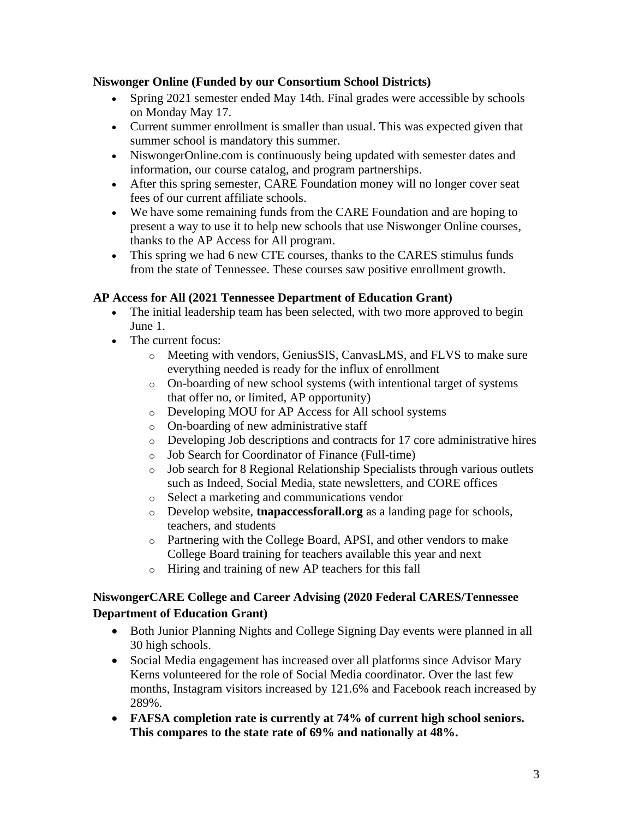#### **Niswonger Online (Funded by our Consortium School Districts)**

- Spring 2021 semester ended May 14th. Final grades were accessible by schools on Monday May 17.
- Current summer enrollment is smaller than usual. This was expected given that summer school is mandatory this summer.
- NiswongerOnline.com is continuously being updated with semester dates and information, our course catalog, and program partnerships.
- After this spring semester, CARE Foundation money will no longer cover seat fees of our current affiliate schools.
- We have some remaining funds from the CARE Foundation and are hoping to present a way to use it to help new schools that use Niswonger Online courses, thanks to the AP Access for All program.
- This spring we had 6 new CTE courses, thanks to the CARES stimulus funds from the state of Tennessee. These courses saw positive enrollment growth.

### **AP Access for All (2021 Tennessee Department of Education Grant)**

- The initial leadership team has been selected, with two more approved to begin June 1.
- The current focus:
	- o Meeting with vendors, GeniusSIS, CanvasLMS, and FLVS to make sure everything needed is ready for the influx of enrollment
	- o On-boarding of new school systems (with intentional target of systems that offer no, or limited, AP opportunity)
	- o Developing MOU for AP Access for All school systems
	- o On-boarding of new administrative staff
	- o Developing Job descriptions and contracts for 17 core administrative hires
	- o Job Search for Coordinator of Finance (Full-time)
	- o Job search for 8 Regional Relationship Specialists through various outlets such as Indeed, Social Media, state newsletters, and CORE offices
	- o Select a marketing and communications vendor
	- o Develop website, **tnapaccessforall.org** as a landing page for schools, teachers, and students
	- o Partnering with the College Board, APSI, and other vendors to make College Board training for teachers available this year and next
	- o Hiring and training of new AP teachers for this fall

## **NiswongerCARE College and Career Advising (2020 Federal CARES/Tennessee Department of Education Grant)**

- Both Junior Planning Nights and College Signing Day events were planned in all 30 high schools.
- Social Media engagement has increased over all platforms since Advisor Mary Kerns volunteered for the role of Social Media coordinator. Over the last few months, Instagram visitors increased by 121.6% and Facebook reach increased by 289%.
- **FAFSA completion rate is currently at 74% of current high school seniors. This compares to the state rate of 69% and nationally at 48%.**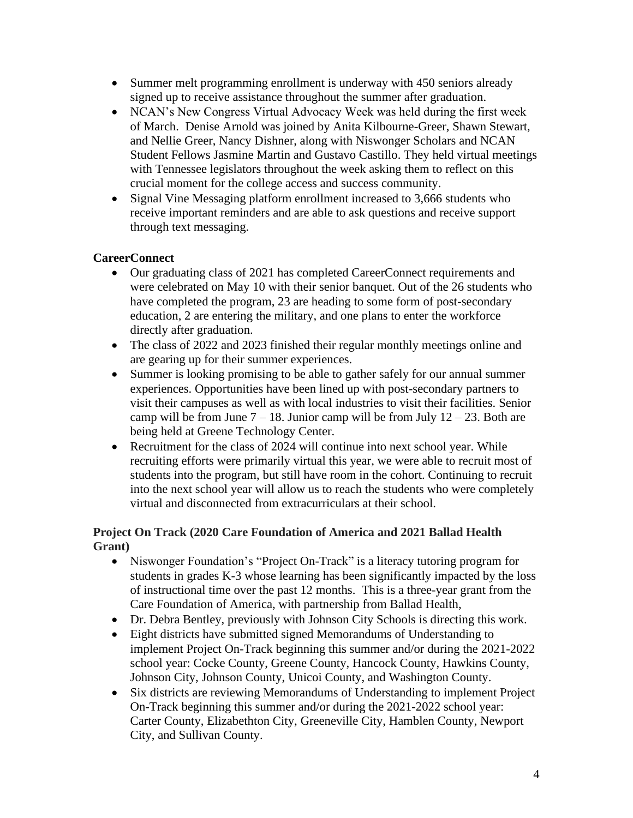- Summer melt programming enrollment is underway with 450 seniors already signed up to receive assistance throughout the summer after graduation.
- NCAN's New Congress Virtual Advocacy Week was held during the first week of March. Denise Arnold was joined by Anita Kilbourne-Greer, Shawn Stewart, and Nellie Greer, Nancy Dishner, along with Niswonger Scholars and NCAN Student Fellows Jasmine Martin and Gustavo Castillo. They held virtual meetings with Tennessee legislators throughout the week asking them to reflect on this crucial moment for the college access and success community.
- Signal Vine Messaging platform enrollment increased to 3,666 students who receive important reminders and are able to ask questions and receive support through text messaging.

## **CareerConnect**

- Our graduating class of 2021 has completed CareerConnect requirements and were celebrated on May 10 with their senior banquet. Out of the 26 students who have completed the program, 23 are heading to some form of post-secondary education, 2 are entering the military, and one plans to enter the workforce directly after graduation.
- The class of 2022 and 2023 finished their regular monthly meetings online and are gearing up for their summer experiences.
- Summer is looking promising to be able to gather safely for our annual summer experiences. Opportunities have been lined up with post-secondary partners to visit their campuses as well as with local industries to visit their facilities. Senior camp will be from June  $7 - 18$ . Junior camp will be from July  $12 - 23$ . Both are being held at Greene Technology Center.
- Recruitment for the class of 2024 will continue into next school year. While recruiting efforts were primarily virtual this year, we were able to recruit most of students into the program, but still have room in the cohort. Continuing to recruit into the next school year will allow us to reach the students who were completely virtual and disconnected from extracurriculars at their school.

## **Project On Track (2020 Care Foundation of America and 2021 Ballad Health Grant)**

- Niswonger Foundation's "Project On-Track" is a literacy tutoring program for students in grades K-3 whose learning has been significantly impacted by the loss of instructional time over the past 12 months. This is a three-year grant from the Care Foundation of America, with partnership from Ballad Health,
- Dr. Debra Bentley, previously with Johnson City Schools is directing this work.
- Eight districts have submitted signed Memorandums of Understanding to implement Project On-Track beginning this summer and/or during the 2021-2022 school year: Cocke County, Greene County, Hancock County, Hawkins County, Johnson City, Johnson County, Unicoi County, and Washington County.
- Six districts are reviewing Memorandums of Understanding to implement Project On-Track beginning this summer and/or during the 2021-2022 school year: Carter County, Elizabethton City, Greeneville City, Hamblen County, Newport City, and Sullivan County.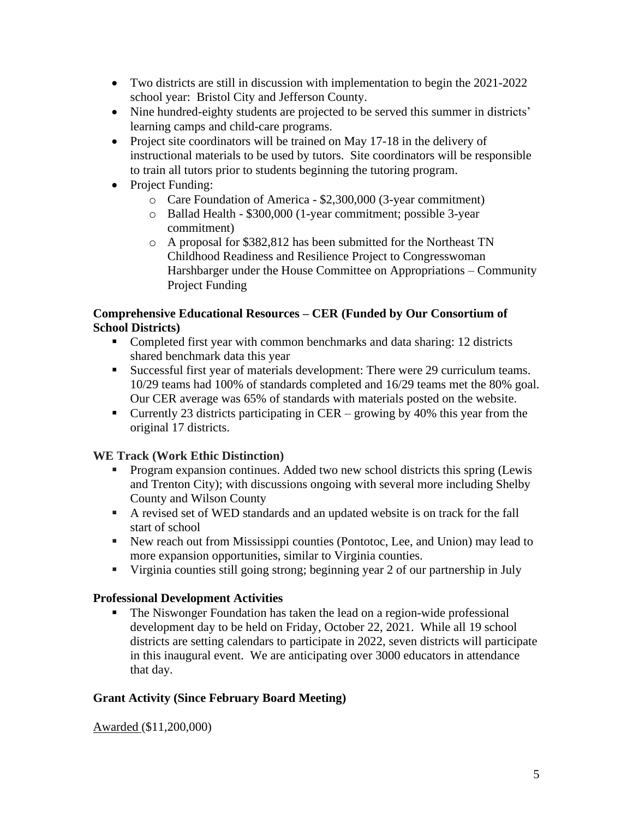- Two districts are still in discussion with implementation to begin the 2021-2022 school year: Bristol City and Jefferson County.
- Nine hundred-eighty students are projected to be served this summer in districts' learning camps and child-care programs.
- Project site coordinators will be trained on May 17-18 in the delivery of instructional materials to be used by tutors. Site coordinators will be responsible to train all tutors prior to students beginning the tutoring program.
- Project Funding:
	- o Care Foundation of America \$2,300,000 (3-year commitment)
	- o Ballad Health \$300,000 (1-year commitment; possible 3-year commitment)
	- o A proposal for \$382,812 has been submitted for the Northeast TN Childhood Readiness and Resilience Project to Congresswoman Harshbarger under the House Committee on Appropriations – Community Project Funding

#### **Comprehensive Educational Resources – CER (Funded by Our Consortium of School Districts)**

- Completed first year with common benchmarks and data sharing: 12 districts shared benchmark data this year
- Successful first year of materials development: There were 29 curriculum teams. 10/29 teams had 100% of standards completed and 16/29 teams met the 80% goal. Our CER average was 65% of standards with materials posted on the website.
- Currently 23 districts participating in CER growing by 40% this year from the original 17 districts.

# **WE Track (Work Ethic Distinction)**

- Program expansion continues. Added two new school districts this spring (Lewis and Trenton City); with discussions ongoing with several more including Shelby County and Wilson County
- A revised set of WED standards and an updated website is on track for the fall start of school
- New reach out from Mississippi counties (Pontotoc, Lee, and Union) may lead to more expansion opportunities, similar to Virginia counties.
- Virginia counties still going strong; beginning year 2 of our partnership in July

### **Professional Development Activities**

■ The Niswonger Foundation has taken the lead on a region-wide professional development day to be held on Friday, October 22, 2021. While all 19 school districts are setting calendars to participate in 2022, seven districts will participate in this inaugural event. We are anticipating over 3000 educators in attendance that day.

# **Grant Activity (Since February Board Meeting)**

Awarded (\$11,200,000)